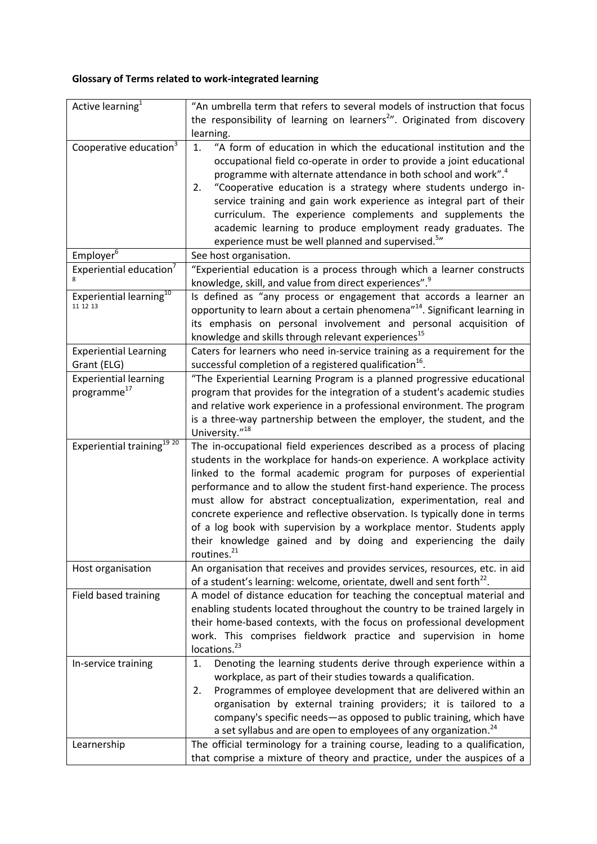## **Glossary of Terms related to work-integrated learning**

| Active learning <sup>1</sup>           | "An umbrella term that refers to several models of instruction that focus               |
|----------------------------------------|-----------------------------------------------------------------------------------------|
|                                        | the responsibility of learning on learners <sup>2</sup> ". Originated from discovery    |
|                                        | learning.                                                                               |
| Cooperative education <sup>3</sup>     | "A form of education in which the educational institution and the<br>1.                 |
|                                        | occupational field co-operate in order to provide a joint educational                   |
|                                        | programme with alternate attendance in both school and work". <sup>4</sup>              |
|                                        | "Cooperative education is a strategy where students undergo in-<br>2.                   |
|                                        | service training and gain work experience as integral part of their                     |
|                                        | curriculum. The experience complements and supplements the                              |
|                                        | academic learning to produce employment ready graduates. The                            |
|                                        | experience must be well planned and supervised. <sup>5</sup> "                          |
| Employer <sup>6</sup>                  | See host organisation.                                                                  |
| Experiential education <sup>7</sup>    | "Experiential education is a process through which a learner constructs                 |
|                                        | knowledge, skill, and value from direct experiences". <sup>9</sup>                      |
| Experiential learning <sup>10</sup>    | Is defined as "any process or engagement that accords a learner an                      |
| 11 12 13                               | opportunity to learn about a certain phenomena" <sup>14</sup> . Significant learning in |
|                                        | its emphasis on personal involvement and personal acquisition of                        |
|                                        | knowledge and skills through relevant experiences <sup>15</sup>                         |
| <b>Experiential Learning</b>           | Caters for learners who need in-service training as a requirement for the               |
| Grant (ELG)                            | successful completion of a registered qualification <sup>16</sup> .                     |
| <b>Experiential learning</b>           | "The Experiential Learning Program is a planned progressive educational                 |
| programme <sup>17</sup>                | program that provides for the integration of a student's academic studies               |
|                                        | and relative work experience in a professional environment. The program                 |
|                                        | is a three-way partnership between the employer, the student, and the                   |
|                                        | University." <sup>18</sup>                                                              |
| Experiential training <sup>19 20</sup> | The in-occupational field experiences described as a process of placing                 |
|                                        | students in the workplace for hands-on experience. A workplace activity                 |
|                                        | linked to the formal academic program for purposes of experiential                      |
|                                        | performance and to allow the student first-hand experience. The process                 |
|                                        | must allow for abstract conceptualization, experimentation, real and                    |
|                                        | concrete experience and reflective observation. Is typically done in terms              |
|                                        | of a log book with supervision by a workplace mentor. Students apply                    |
|                                        | their knowledge gained and by doing and experiencing the daily                          |
|                                        | routines. <sup>21</sup>                                                                 |
| Host organisation                      | An organisation that receives and provides services, resources, etc. in aid             |
|                                        | of a student's learning: welcome, orientate, dwell and sent forth <sup>22</sup> .       |
| Field based training                   | A model of distance education for teaching the conceptual material and                  |
|                                        | enabling students located throughout the country to be trained largely in               |
|                                        | their home-based contexts, with the focus on professional development                   |
|                                        | work. This comprises fieldwork practice and supervision in home                         |
|                                        | locations. <sup>23</sup>                                                                |
| In-service training                    | Denoting the learning students derive through experience within a<br>1.                 |
|                                        | workplace, as part of their studies towards a qualification.                            |
|                                        | Programmes of employee development that are delivered within an<br>2.                   |
|                                        | organisation by external training providers; it is tailored to a                        |
|                                        | company's specific needs-as opposed to public training, which have                      |
|                                        | a set syllabus and are open to employees of any organization. <sup>24</sup>             |
| Learnership                            | The official terminology for a training course, leading to a qualification,             |
|                                        | that comprise a mixture of theory and practice, under the auspices of a                 |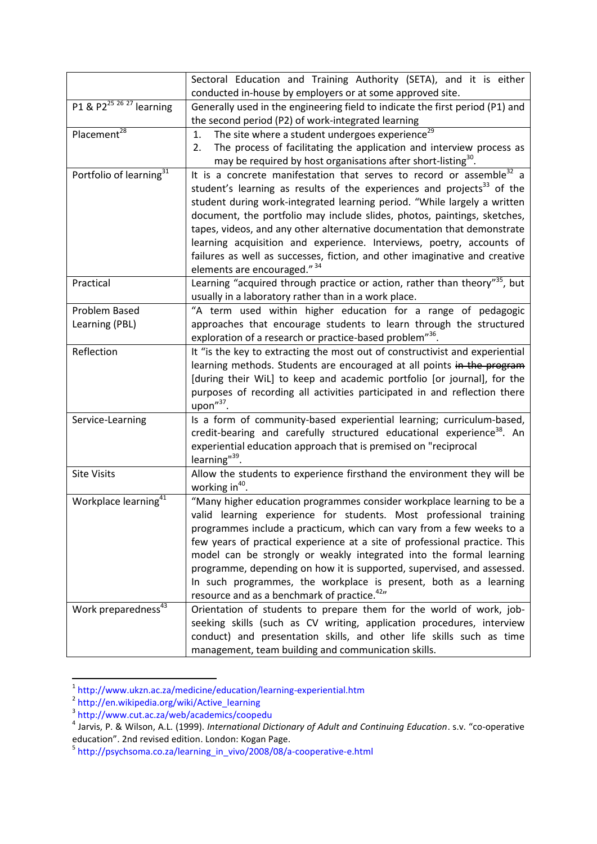|                                                 | Sectoral Education and Training Authority (SETA), and it is either<br>conducted in-house by employers or at some approved site.                                                                                                                            |
|-------------------------------------------------|------------------------------------------------------------------------------------------------------------------------------------------------------------------------------------------------------------------------------------------------------------|
| P1 & P2 <sup>25 26</sup> <sup>27</sup> learning | Generally used in the engineering field to indicate the first period (P1) and                                                                                                                                                                              |
|                                                 | the second period (P2) of work-integrated learning                                                                                                                                                                                                         |
| Placement <sup>28</sup>                         | The site where a student undergoes experience <sup>29</sup><br>1.                                                                                                                                                                                          |
|                                                 | The process of facilitating the application and interview process as<br>2.<br>may be required by host organisations after short-listing <sup>30</sup> .                                                                                                    |
| Portfolio of learning <sup>31</sup>             | It is a concrete manifestation that serves to record or assemble <sup>32</sup> a<br>student's learning as results of the experiences and projects <sup>33</sup> of the                                                                                     |
|                                                 | student during work-integrated learning period. "While largely a written                                                                                                                                                                                   |
|                                                 | document, the portfolio may include slides, photos, paintings, sketches,                                                                                                                                                                                   |
|                                                 | tapes, videos, and any other alternative documentation that demonstrate                                                                                                                                                                                    |
|                                                 | learning acquisition and experience. Interviews, poetry, accounts of                                                                                                                                                                                       |
|                                                 | failures as well as successes, fiction, and other imaginative and creative<br>elements are encouraged." 34                                                                                                                                                 |
| Practical                                       | Learning "acquired through practice or action, rather than theory" <sup>35</sup> , but<br>usually in a laboratory rather than in a work place.                                                                                                             |
| Problem Based                                   | "A term used within higher education for a range of pedagogic                                                                                                                                                                                              |
| Learning (PBL)                                  | approaches that encourage students to learn through the structured                                                                                                                                                                                         |
|                                                 | exploration of a research or practice-based problem" <sup>36</sup> .                                                                                                                                                                                       |
| Reflection                                      | It "is the key to extracting the most out of constructivist and experiential                                                                                                                                                                               |
|                                                 | learning methods. Students are encouraged at all points in the program                                                                                                                                                                                     |
|                                                 | [during their WiL] to keep and academic portfolio [or journal], for the                                                                                                                                                                                    |
|                                                 | purposes of recording all activities participated in and reflection there<br>upon"37.                                                                                                                                                                      |
| Service-Learning                                | Is a form of community-based experiential learning; curriculum-based,<br>credit-bearing and carefully structured educational experience <sup>38</sup> . An<br>experiential education approach that is premised on "reciprocal<br>learning" <sup>39</sup> . |
| <b>Site Visits</b>                              | Allow the students to experience firsthand the environment they will be<br>working in $40$ .                                                                                                                                                               |
| Workplace learning <sup>41</sup>                | "Many higher education programmes consider workplace learning to be a<br>valid learning experience for students. Most professional training                                                                                                                |
|                                                 | programmes include a practicum, which can vary from a few weeks to a                                                                                                                                                                                       |
|                                                 | few years of practical experience at a site of professional practice. This                                                                                                                                                                                 |
|                                                 | model can be strongly or weakly integrated into the formal learning                                                                                                                                                                                        |
|                                                 | programme, depending on how it is supported, supervised, and assessed.                                                                                                                                                                                     |
|                                                 | In such programmes, the workplace is present, both as a learning                                                                                                                                                                                           |
|                                                 | resource and as a benchmark of practice. <sup>42</sup> "                                                                                                                                                                                                   |
| Work preparedness <sup>43</sup>                 | Orientation of students to prepare them for the world of work, job-                                                                                                                                                                                        |
|                                                 | seeking skills (such as CV writing, application procedures, interview                                                                                                                                                                                      |
|                                                 | conduct) and presentation skills, and other life skills such as time                                                                                                                                                                                       |
|                                                 | management, team building and communication skills.                                                                                                                                                                                                        |

<sup>&</sup>lt;sup>1</sup> http://www.ukzn.ac.za/medicine/education/learning-experiential.htm<br><sup>2</sup> http://en.wikipedia.org/wiki/Active\_learning<br><sup>3</sup> http://www.cut.ac.za/web/academics/coopedu<br><sup>4</sup> Jarvis, P. & Wilson, A.L. (1999). *International Di* 

education". 2nd revised edition. London: Kogan Page.<br><sup>5</sup> http://psychsoma.co.za/learning\_in\_vivo/2008/08/a-cooperative-e.html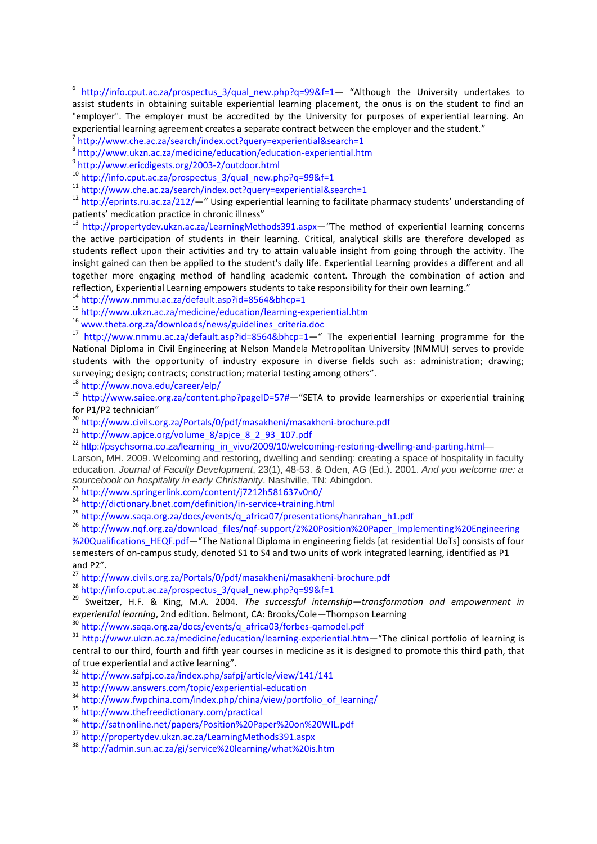6 http://info.cput.ac.za/prospectus\_3/qual\_new.php?q=99&f=1— "Although the University undertakes to assist students in obtaining suitable experiential learning placement, the onus is on the student to find an "employer". The employer must be accredited by the University for purposes of experiential learning. An experiential learning agreement creates a separate contract between the employer and the student."

7 http://www.che.ac.za/search/index.oct?query=experiential&search=1

8 http://www.ukzn.ac.za/medicine/education/education-experiential.htm

9 http://www.ericdigests.org/2003-2/outdoor.html

<sup>10</sup> http://info.cput.ac.za/prospectus\_3/qual\_new.php?q=99&f=1

<sup>11</sup> http://www.che.ac.za/search/index.oct?query=experiential&search=1

<sup>12</sup> http://eprints.ru.ac.za/212/—" Using experiential learning to facilitate pharmacy students' understanding of patients' medication practice in chronic illness"

<sup>13</sup> http://propertydev.ukzn.ac.za/LearningMethods391.aspx—"The method of experiential learning concerns the active participation of students in their learning. Critical, analytical skills are therefore developed as students reflect upon their activities and try to attain valuable insight from going through the activity. The insight gained can then be applied to the student's daily life. Experiential Learning provides a different and all together more engaging method of handling academic content. Through the combination of action and reflection, Experiential Learning empowers students to take responsibility for their own learning."

<sup>14</sup> http://www.nmmu.ac.za/default.asp?id=8564&bhcp=1

<sup>15</sup> http://www.ukzn.ac.za/medicine/education/learning-experiential.htm

<sup>16</sup> www.theta.org.za/downloads/news/guidelines\_criteria.doc

<sup>17</sup> http://www.nmmu.ac.za/default.asp?id=8564&bhcp=1—" The experiential learning programme for the National Diploma in Civil Engineering at Nelson Mandela Metropolitan University (NMMU) serves to provide students with the opportunity of industry exposure in diverse fields such as: administration; drawing; surveying; design; contracts; construction; material testing among others".

<sup>18</sup> http://www.nova.edu/career/elp/

<sup>19</sup> http://www.saiee.org.za/content.php?pageID=57#—"SETA to provide learnerships or experiential training for P1/P2 technician"

<sup>20</sup> http://www.civils.org.za/Portals/0/pdf/masakheni/masakheni-brochure.pdf

<sup>21</sup> http://www.apjce.org/volume\_8/apjce\_8\_2\_93\_107.pdf

 $22$  http://psychsoma.co.za/learning\_in\_vivo/2009/10/welcoming-restoring-dwelling-and-parting.html—

Larson, MH. 2009. Welcoming and restoring, dwelling and sending: creating a space of hospitality in faculty education. *Journal of Faculty Development*, 23(1), 48-53. & Oden, AG (Ed.). 2001. *And you welcome me: a sourcebook on hospitality in early Christianity*. Nashville, TN: Abingdon.

 $3$  http://www.springerlink.com/content/j7212h581637v0n0/

<sup>24</sup> http://dictionary.bnet.com/definition/in-service+training.html

<sup>25</sup> http://www.saqa.org.za/docs/events/q\_africa07/presentations/hanrahan\_h1.pdf

<sup>26</sup> http://www.nqf.org.za/download\_files/nqf-support/2%20Position%20Paper\_Implementing%20Engineering %20Qualifications\_HEQF.pdf—"The National Diploma in engineering fields [at residential UoTs] consists of four semesters of on-campus study, denoted S1 to S4 and two units of work integrated learning, identified as P1 and P2".

<sup>27</sup> http://www.civils.org.za/Portals/0/pdf/masakheni/masakheni-brochure.pdf

<sup>28</sup> http://info.cput.ac.za/prospectus\_3/qual\_new.php?q=99&f=1

<sup>29</sup> Sweitzer, H.F. & King, M.A. 2004. *The successful internship—transformation and empowerment in experiential learning*, 2nd edition. Belmont, CA: Brooks/Cole—Thompson Learning

<sup>30</sup> http://www.saqa.org.za/docs/events/q\_africa03/forbes-qamodel.pdf

<sup>31</sup> http://www.ukzn.ac.za/medicine/education/learning-experiential.htm—"The clinical portfolio of learning is central to our third, fourth and fifth year courses in medicine as it is designed to promote this third path, that of true experiential and active learning".

<sup>32</sup> http://www.safpj.co.za/index.php/safpj/article/view/141/141

<sup>33</sup> http://www.answers.com/topic/experiential-education

<sup>34</sup> http://www.fwpchina.com/index.php/china/view/portfolio\_of\_learning/

<sup>35</sup> http://www.thefreedictionary.com/practical

<sup>36</sup> http://satnonline.net/papers/Position%20Paper%20on%20WIL.pdf

<sup>37</sup> http://propertydev.ukzn.ac.za/LearningMethods391.aspx

<sup>38</sup> http://admin.sun.ac.za/gi/service%20learning/what%20is.htm